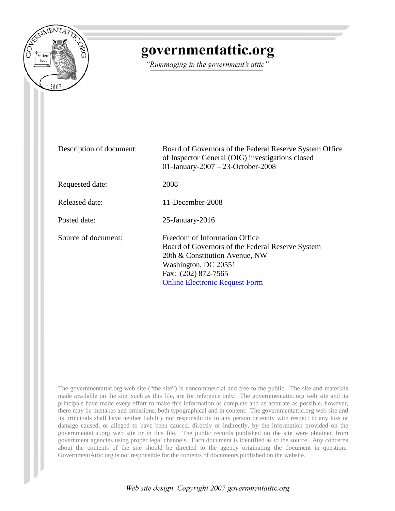

## governmentattic.org

"Rummaging in the government's attic"

| Description of document: | Board of Governors of the Federal Reserve System Office<br>of Inspector General (OIG) investigations closed<br>01-January-2007 - 23-October-2008                                                            |  |
|--------------------------|-------------------------------------------------------------------------------------------------------------------------------------------------------------------------------------------------------------|--|
| Requested date:          | 2008                                                                                                                                                                                                        |  |
| Released date:           | 11-December-2008                                                                                                                                                                                            |  |
| Posted date:             | $25$ -January- $2016$                                                                                                                                                                                       |  |
| Source of document:      | Freedom of Information Office<br>Board of Governors of the Federal Reserve System<br>20th & Constitution Avenue, NW<br>Washington, DC 20551<br>Fax: (202) 872-7565<br><b>Online Electronic Request Form</b> |  |

The governmentattic.org web site ("the site") is noncommercial and free to the public. The site and materials made available on the site, such as this file, are for reference only. The governmentattic.org web site and its principals have made every effort to make this information as complete and as accurate as possible, however, there may be mistakes and omissions, both typographical and in content. The governmentattic.org web site and its principals shall have neither liability nor responsibility to any person or entity with respect to any loss or damage caused, or alleged to have been caused, directly or indirectly, by the information provided on the governmentattic.org web site or in this file. The public records published on the site were obtained from government agencies using proper legal channels. Each document is identified as to the source. Any concerns about the contents of the site should be directed to the agency originating the document in question. GovernmentAttic.org is not responsible for the contents of documents published on the website.

-- Web site design Copyright 2007 governmentattic.org --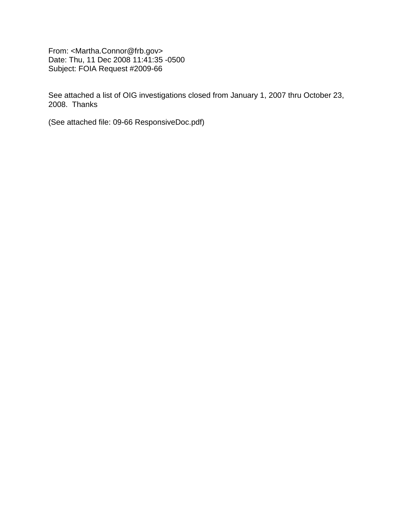From: <Martha.Connor@frb.gov> Date: Thu, 11 Dec 2008 11:41:35 -0500 Subject: FOIA Request #2009-66

See attached a list of OIG investigations closed from January 1, 2007 thru October 23, 2008. Thanks

(See attached file: 09-66 ResponsiveDoc.pdf)